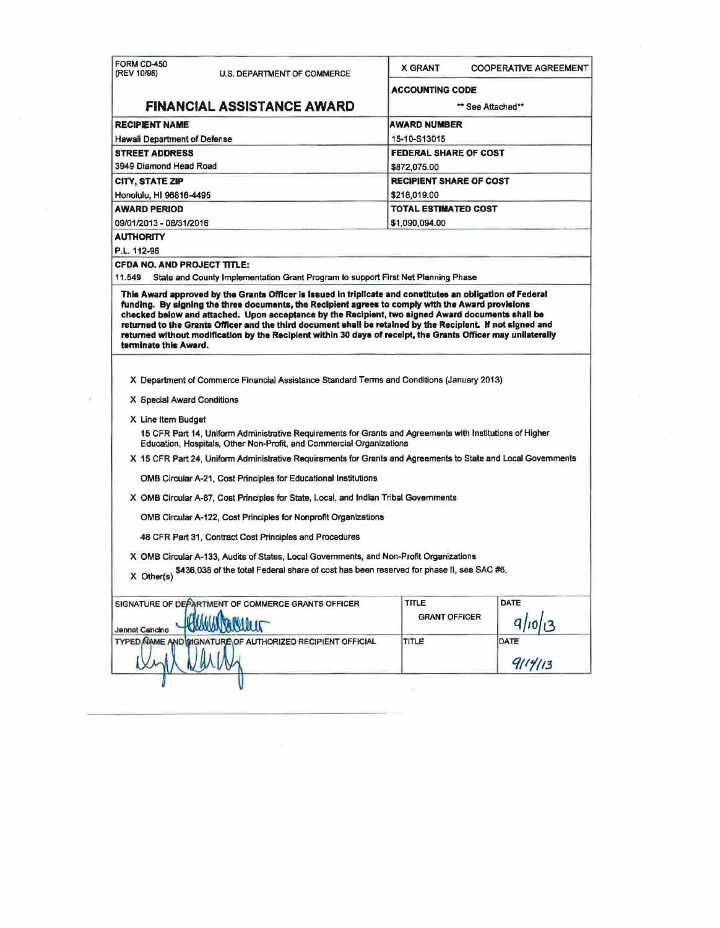| FORM CD-450<br>(REV 10/98)         | U.S. DEPARTMENT OF COMMERCE                                                                                                                                                                                                                                                                                                                                                                                                                                                                                                                          | <b>X GRANT</b>                 | <b>COOPERATIVE AGREEMENT</b> |  |
|------------------------------------|------------------------------------------------------------------------------------------------------------------------------------------------------------------------------------------------------------------------------------------------------------------------------------------------------------------------------------------------------------------------------------------------------------------------------------------------------------------------------------------------------------------------------------------------------|--------------------------------|------------------------------|--|
|                                    |                                                                                                                                                                                                                                                                                                                                                                                                                                                                                                                                                      | <b>ACCOUNTING CODE</b>         |                              |  |
|                                    | <b>FINANCIAL ASSISTANCE AWARD</b>                                                                                                                                                                                                                                                                                                                                                                                                                                                                                                                    |                                | ** See Attached**            |  |
| <b>RECIPIENT NAME</b>              |                                                                                                                                                                                                                                                                                                                                                                                                                                                                                                                                                      | <b>AWARD NUMBER</b>            |                              |  |
| Hawaii Department of Defense       |                                                                                                                                                                                                                                                                                                                                                                                                                                                                                                                                                      | 15-10-S13015                   |                              |  |
| <b>STREET ADDRESS</b>              |                                                                                                                                                                                                                                                                                                                                                                                                                                                                                                                                                      | <b>FEDERAL SHARE OF COST</b>   |                              |  |
| 3949 Diamond Head Road             |                                                                                                                                                                                                                                                                                                                                                                                                                                                                                                                                                      | \$872,075.00                   |                              |  |
| CITY, STATE ZIP                    |                                                                                                                                                                                                                                                                                                                                                                                                                                                                                                                                                      | <b>RECIPIENT SHARE OF COST</b> |                              |  |
| Honolulu, HI 96816-4495            |                                                                                                                                                                                                                                                                                                                                                                                                                                                                                                                                                      | \$218,019.00                   |                              |  |
| <b>AWARD PERIOD</b>                |                                                                                                                                                                                                                                                                                                                                                                                                                                                                                                                                                      | <b>TOTAL ESTIMATED COST</b>    |                              |  |
| 09/01/2013 - 08/31/2016            |                                                                                                                                                                                                                                                                                                                                                                                                                                                                                                                                                      | \$1,090,094.00                 |                              |  |
| <b>AUTHORITY</b>                   |                                                                                                                                                                                                                                                                                                                                                                                                                                                                                                                                                      |                                |                              |  |
| P.L. 112-96                        |                                                                                                                                                                                                                                                                                                                                                                                                                                                                                                                                                      |                                |                              |  |
| <b>CFDA NO. AND PROJECT TITLE:</b> |                                                                                                                                                                                                                                                                                                                                                                                                                                                                                                                                                      |                                |                              |  |
| 11.549                             | State and County Implementation Grant Program to support First Net Planning Phase                                                                                                                                                                                                                                                                                                                                                                                                                                                                    |                                |                              |  |
| terminate this Award.              | This Award approved by the Grants Officer is Issued in triplicate and constitutes an obligation of Federal<br>funding. By signing the three documents, the Recipient agrees to comply with the Award provisions<br>checked below and attached. Upon acceptance by the Recipient, two signed Award documents shall be<br>returned to the Grants Officer and the third document shall be retained by the Recipient. If not signed and<br>returned without modification by the Recipient within 30 days of recelpt, the Grants Officer may unilaterally |                                |                              |  |
|                                    |                                                                                                                                                                                                                                                                                                                                                                                                                                                                                                                                                      |                                |                              |  |
|                                    | X Department of Commerce Financial Assistance Standard Terms and Conditions (January 2013)                                                                                                                                                                                                                                                                                                                                                                                                                                                           |                                |                              |  |
|                                    |                                                                                                                                                                                                                                                                                                                                                                                                                                                                                                                                                      |                                |                              |  |
| X Special Award Conditions         |                                                                                                                                                                                                                                                                                                                                                                                                                                                                                                                                                      |                                |                              |  |
| X Line Item Budget                 |                                                                                                                                                                                                                                                                                                                                                                                                                                                                                                                                                      |                                |                              |  |
|                                    | 15 CFR Part 14, Uniform Administrative Requirements for Grants and Agreements with Institutions of Higher<br>Education, Hospitals, Other Non-Profit, and Commercial Organizations                                                                                                                                                                                                                                                                                                                                                                    |                                |                              |  |
|                                    | X 15 CFR Part 24, Uniform Administrative Requirements for Grants and Agreements to State and Local Governments                                                                                                                                                                                                                                                                                                                                                                                                                                       |                                |                              |  |
|                                    | <b>OMB Circular A-21, Cost Principles for Educational Institutions</b>                                                                                                                                                                                                                                                                                                                                                                                                                                                                               |                                |                              |  |
|                                    | X OMB Circular A-87, Cost Principles for State, Local, and Indian Tribal Governments                                                                                                                                                                                                                                                                                                                                                                                                                                                                 |                                |                              |  |
|                                    | OMB Circular A-122, Cost Principles for Nonprofit Organizations                                                                                                                                                                                                                                                                                                                                                                                                                                                                                      |                                |                              |  |
|                                    | 48 CFR Part 31, Contract Cost Principles and Procedures                                                                                                                                                                                                                                                                                                                                                                                                                                                                                              |                                |                              |  |
|                                    | X OMB Circular A-133, Audits of States, Local Governments, and Non-Profit Organizations                                                                                                                                                                                                                                                                                                                                                                                                                                                              |                                |                              |  |
|                                    | X Other(s) \$436,038 of the total Federal share of cost has been reserved for phase II, see SAC #6.                                                                                                                                                                                                                                                                                                                                                                                                                                                  |                                |                              |  |
|                                    | SIGNATURE OF DEPARTMENT OF COMMERCE GRANTS OFFICER                                                                                                                                                                                                                                                                                                                                                                                                                                                                                                   | TITLE                          | DATE                         |  |
| Jannet Cancino                     |                                                                                                                                                                                                                                                                                                                                                                                                                                                                                                                                                      | <b>GRANT OFFICER</b>           | 91,013                       |  |
|                                    | TYPED NAME AND SIGNATURE OF AUTHORIZED RECIPIENT OFFICIAL                                                                                                                                                                                                                                                                                                                                                                                                                                                                                            | TITLE                          | DATE                         |  |
|                                    |                                                                                                                                                                                                                                                                                                                                                                                                                                                                                                                                                      |                                | IE<br>9114/13                |  |
|                                    |                                                                                                                                                                                                                                                                                                                                                                                                                                                                                                                                                      |                                |                              |  |

é

 $\beta_c$